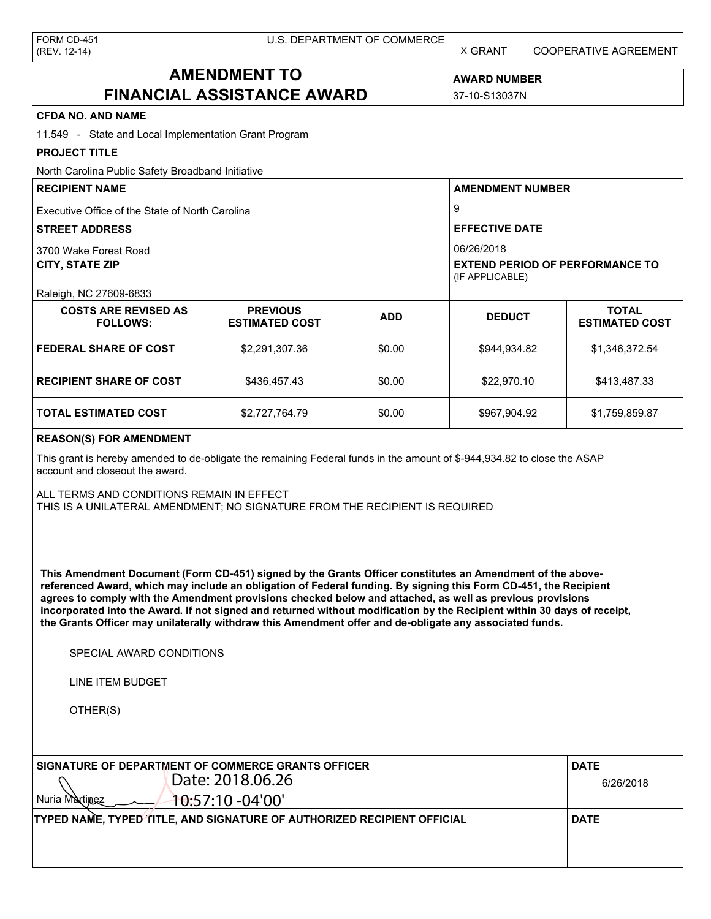X GRANT COOPERATIVE AGREEMENT

# **AMENDMENT TO FINANCIAL ASSISTANCE AWARD**

**AWARD NUMBER** 37-10-S13037N

| <b>CFDA NO. AND NAME</b>                                                                                                                                                                                                                                                                                                                                                                                                                                                                                                                                                                                                                 |                                          |            |                                                           |                                       |  |  |
|------------------------------------------------------------------------------------------------------------------------------------------------------------------------------------------------------------------------------------------------------------------------------------------------------------------------------------------------------------------------------------------------------------------------------------------------------------------------------------------------------------------------------------------------------------------------------------------------------------------------------------------|------------------------------------------|------------|-----------------------------------------------------------|---------------------------------------|--|--|
| 11.549 - State and Local Implementation Grant Program                                                                                                                                                                                                                                                                                                                                                                                                                                                                                                                                                                                    |                                          |            |                                                           |                                       |  |  |
| <b>PROJECT TITLE</b>                                                                                                                                                                                                                                                                                                                                                                                                                                                                                                                                                                                                                     |                                          |            |                                                           |                                       |  |  |
| North Carolina Public Safety Broadband Initiative                                                                                                                                                                                                                                                                                                                                                                                                                                                                                                                                                                                        |                                          |            |                                                           |                                       |  |  |
| <b>RECIPIENT NAME</b>                                                                                                                                                                                                                                                                                                                                                                                                                                                                                                                                                                                                                    |                                          |            | <b>AMENDMENT NUMBER</b>                                   |                                       |  |  |
| Executive Office of the State of North Carolina                                                                                                                                                                                                                                                                                                                                                                                                                                                                                                                                                                                          |                                          |            | 9                                                         |                                       |  |  |
| <b>STREET ADDRESS</b>                                                                                                                                                                                                                                                                                                                                                                                                                                                                                                                                                                                                                    |                                          |            | <b>EFFECTIVE DATE</b>                                     |                                       |  |  |
| 3700 Wake Forest Road                                                                                                                                                                                                                                                                                                                                                                                                                                                                                                                                                                                                                    |                                          |            | 06/26/2018                                                |                                       |  |  |
| <b>CITY, STATE ZIP</b>                                                                                                                                                                                                                                                                                                                                                                                                                                                                                                                                                                                                                   |                                          |            | <b>EXTEND PERIOD OF PERFORMANCE TO</b><br>(IF APPLICABLE) |                                       |  |  |
| Raleigh, NC 27609-6833                                                                                                                                                                                                                                                                                                                                                                                                                                                                                                                                                                                                                   |                                          |            |                                                           |                                       |  |  |
| <b>COSTS ARE REVISED AS</b><br><b>FOLLOWS:</b>                                                                                                                                                                                                                                                                                                                                                                                                                                                                                                                                                                                           | <b>PREVIOUS</b><br><b>ESTIMATED COST</b> | <b>ADD</b> | <b>DEDUCT</b>                                             | <b>TOTAL</b><br><b>ESTIMATED COST</b> |  |  |
| <b>FEDERAL SHARE OF COST</b>                                                                                                                                                                                                                                                                                                                                                                                                                                                                                                                                                                                                             | \$2,291,307.36                           | \$0.00     | \$944,934.82                                              | \$1,346,372.54                        |  |  |
| <b>RECIPIENT SHARE OF COST</b>                                                                                                                                                                                                                                                                                                                                                                                                                                                                                                                                                                                                           | \$436,457.43                             | \$0.00     | \$22,970.10                                               | \$413,487.33                          |  |  |
| <b>TOTAL ESTIMATED COST</b>                                                                                                                                                                                                                                                                                                                                                                                                                                                                                                                                                                                                              | \$2,727,764.79                           | \$0.00     | \$967,904.92                                              | \$1,759,859.87                        |  |  |
| <b>REASON(S) FOR AMENDMENT</b>                                                                                                                                                                                                                                                                                                                                                                                                                                                                                                                                                                                                           |                                          |            |                                                           |                                       |  |  |
| This grant is hereby amended to de-obligate the remaining Federal funds in the amount of \$-944,934.82 to close the ASAP<br>account and closeout the award.<br>ALL TERMS AND CONDITIONS REMAIN IN EFFECT<br>THIS IS A UNILATERAL AMENDMENT; NO SIGNATURE FROM THE RECIPIENT IS REQUIRED                                                                                                                                                                                                                                                                                                                                                  |                                          |            |                                                           |                                       |  |  |
| This Amendment Document (Form CD-451) signed by the Grants Officer constitutes an Amendment of the above-<br>referenced Award, which may include an obligation of Federal funding. By signing this Form CD-451, the Recipient<br>agrees to comply with the Amendment provisions checked below and attached, as well as previous provisions<br>incorporated into the Award. If not signed and returned without modification by the Recipient within 30 days of receipt,<br>the Grants Officer may unilaterally withdraw this Amendment offer and de-obligate any associated funds.<br>SPECIAL AWARD CONDITIONS<br><b>LINE ITEM BUDGET</b> |                                          |            |                                                           |                                       |  |  |
|                                                                                                                                                                                                                                                                                                                                                                                                                                                                                                                                                                                                                                          |                                          |            |                                                           |                                       |  |  |
| OTHER(S)                                                                                                                                                                                                                                                                                                                                                                                                                                                                                                                                                                                                                                 |                                          |            |                                                           |                                       |  |  |
| SIGNATURE OF DEPARTMENT OF COMMERCE GRANTS OFFICER                                                                                                                                                                                                                                                                                                                                                                                                                                                                                                                                                                                       | <b>DATE</b>                              |            |                                                           |                                       |  |  |
| Date: 2018.06.26                                                                                                                                                                                                                                                                                                                                                                                                                                                                                                                                                                                                                         | 6/26/2018                                |            |                                                           |                                       |  |  |
| 10:57:10 -04'00'<br>Nuria Martinez                                                                                                                                                                                                                                                                                                                                                                                                                                                                                                                                                                                                       |                                          |            |                                                           |                                       |  |  |
| TYPED NAME, TYPED TITLE, AND SIGNATURE OF AUTHORIZED RECIPIENT OFFICIAL                                                                                                                                                                                                                                                                                                                                                                                                                                                                                                                                                                  | <b>DATE</b>                              |            |                                                           |                                       |  |  |